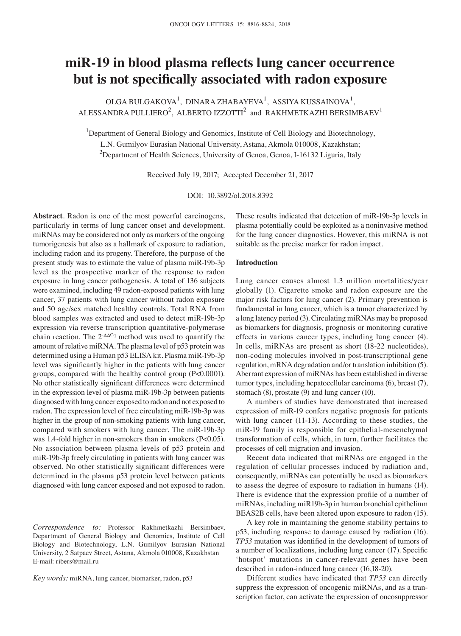# **miR‑19 in blood plasma reflects lung cancer occurrence but is not specifically associated with radon exposure**

 $OLGA$  BULGAKOVA<sup>1</sup>, DINARA ZHABAYEVA<sup>1</sup>, ASSIYA KUSSAINOVA<sup>1</sup>, ALESSANDRA PULLIERO $^2$ , ALBERTO IZZOTTI $^2$  and RAKHMETKAZHI BERSIMBAEV $^1$ 

<sup>1</sup>Department of General Biology and Genomics, Institute of Cell Biology and Biotechnology, L.N. Gumilyov Eurasian National University, Astana, Akmola 010008, Kazakhstan;  $^{2}$ Department of Health Sciences, University of Genoa, Genoa, I-16132 Liguria, Italy

Received July 19, 2017; Accepted December 21, 2017

DOI: 10.3892/ol.2018.8392

**Abstract**. Radon is one of the most powerful carcinogens, particularly in terms of lung cancer onset and development. miRNAs may be considered not only as markers of the ongoing tumorigenesis but also as a hallmark of exposure to radiation, including radon and its progeny. Therefore, the purpose of the present study was to estimate the value of plasma miR-19b-3p level as the prospective marker of the response to radon exposure in lung cancer pathogenesis. A total of 136 subjects were examined, including 49 radon-exposed patients with lung cancer, 37 patients with lung cancer without radon exposure and 50 age/sex matched healthy controls. Total RNA from blood samples was extracted and used to detect miR-19b-3p expression via reverse transcription quantitative-polymerase chain reaction. The  $2^{-\Delta\Delta Cq}$  method was used to quantify the amount of relative miRNA. The plasma level of p53 protein was determined using a Human p53 ELISA kit. Plasma miR-19b-3p level was significantly higher in the patients with lung cancer groups, compared with the healthy control group (P<0.0001). No other statistically significant differences were determined in the expression level of plasma miR-19b-3p between patients diagnosed with lung cancer exposed to radon and not exposed to radon. The expression level of free circulating miR-19b-3p was higher in the group of non-smoking patients with lung cancer, compared with smokers with lung cancer. The miR-19b-3p was 1.4-fold higher in non-smokers than in smokers (P<0.05). No association between plasma levels of p53 protein and miR-19b-3p freely circulating in patients with lung cancer was observed. No other statistically significant differences were determined in the plasma p53 protein level between patients diagnosed with lung cancer exposed and not exposed to radon.

*Key words:* miRNA, lung cancer, biomarker, radon, p53

These results indicated that detection of miR-19b-3p levels in plasma potentially could be exploited as a noninvasive method for the lung cancer diagnostics. However, this miRNA is not suitable as the precise marker for radon impact.

#### **Introduction**

Lung cancer causes almost 1.3 million mortalities/year globally (1). Cigarette smoke and radon exposure are the major risk factors for lung cancer (2). Primary prevention is fundamental in lung cancer, which is a tumor characterized by a long latency period (3). Circulating miRNAs may be proposed as biomarkers for diagnosis, prognosis or monitoring curative effects in various cancer types, including lung cancer (4). In cells, miRNAs are present as short (18-22 nucleotides), non-coding molecules involved in post-transcriptional gene regulation, mRNA degradation and/or translation inhibition (5). Aberrant expression of miRNAs has been established in diverse tumor types, including hepatocellular carcinoma (6), breast (7), stomach (8), prostate (9) and lung cancer (10).

A numbers of studies have demonstrated that increased expression of miR-19 confers negative prognosis for patients with lung cancer (11-13). According to these studies, the miR-19 family is responsible for epithelial-mesenchymal transformation of cells, which, in turn, further facilitates the processes of cell migration and invasion.

Recent data indicated that miRNAs are engaged in the regulation of cellular processes induced by radiation and, consequently, miRNAs can potentially be used as biomarkers to assess the degree of exposure to radiation in humans (14). There is evidence that the expression profile of a number of miRNAs, including miR19b-3p in human bronchial epithelium BEAS2B cells, have been altered upon exposure to radon (15).

A key role in maintaining the genome stability pertains to p53, including response to damage caused by radiation (16). *TP53* mutation was identified in the development of tumors of a number of localizations, including lung cancer (17). Specific 'hotspot' mutations in cancer-relevant genes have been described in radon-induced lung cancer (16,18-20).

Different studies have indicated that *TP53* can directly suppress the expression of oncogenic miRNAs, and as a transcription factor, can activate the expression of oncosuppressor

*Correspondence to:* Professor Rakhmetkazhi Bersimbaev, Department of General Biology and Genomics, Institute of Cell Biology and Biotechnology, L.N. Gumilyov Eurasian National University, 2 Satpaev Street, Astana, Akmola 010008, Kazakhstan E-mail: ribers@mail.ru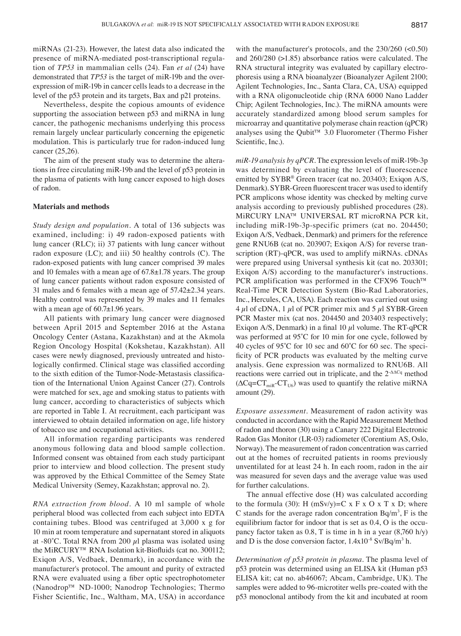miRNAs (21-23). However, the latest data also indicated the presence of miRNA-mediated post-transcriptional regulation of *TP53* in mammalian cells (24). Fan *et al* (24) have demonstrated that *TP53* is the target of miR-19b and the overexpression of miR-19b in cancer cells leads to a decrease in the level of the p53 protein and its targets, Bax and p21 proteins.

Nevertheless, despite the copious amounts of evidence supporting the association between p53 and miRNA in lung cancer, the pathogenic mechanisms underlying this process remain largely unclear particularly concerning the epigenetic modulation. This is particularly true for radon-induced lung cancer (25,26).

The aim of the present study was to determine the alterations in free circulating miR-19b and the level of p53 protein in the plasma of patients with lung cancer exposed to high doses of radon.

### **Materials and methods**

*Study design and population.* A total of 136 subjects was examined, including: i) 49 radon-exposed patients with lung cancer (RLC); ii) 37 patients with lung cancer without radon exposure (LC); and iii) 50 healthy controls (C). The radon-exposed patients with lung cancer comprised 39 males and 10 females with a mean age of 67.8±1.78 years. The group of lung cancer patients without radon exposure consisted of 31 males and 6 females with a mean age of 57.42±2.34 years. Healthy control was represented by 39 males and 11 females with a mean age of  $60.7\pm1.96$  years.

All patients with primary lung cancer were diagnosed between April 2015 and September 2016 at the Astana Oncology Center (Astana, Kazakhstan) and at the Akmola Region Oncology Hospital (Kokshetau, Kazakhstan). All cases were newly diagnosed, previously untreated and histologically confirmed. Clinical stage was classified according to the sixth edition of the Tumor‑Node‑Metastasis classification of the International Union Against Cancer (27). Controls were matched for sex, age and smoking status to patients with lung cancer, according to characteristics of subjects which are reported in Table I. At recruitment, each participant was interviewed to obtain detailed information on age, life history of tobacco use and occupational activities.

All information regarding participants was rendered anonymous following data and blood sample collection. Informed consent was obtained from each study participant prior to interview and blood collection. The present study was approved by the Ethical Committee of the Semey State Medical University (Semey, Kazakhstan; approval no. 2).

*RNA extraction from blood.* A 10 ml sample of whole peripheral blood was collected from each subject into EDTA containing tubes. Blood was centrifuged at 3,000 x g for 10 min at room temperature and supernatant stored in aliquots at -80 $^{\circ}$ C. Total RNA from 200  $\mu$ l plasma was isolated using the MiRCURY™ RNA Isolation kit‑Biofluids (cat no. 300112; Exiqon A/S, Vedbaek, Denmark), in accordance with the manufacturer's protocol. The amount and purity of extracted RNA were evaluated using a fiber optic spectrophotometer (Nanodrop™ ND-1000; Nanodrop Technologies; Thermo Fisher Scientific, Inc., Waltham, MA, USA) in accordance with the manufacturer's protocols, and the 230/260 (<0.50) and 260/280 (>1.85) absorbance ratios were calculated. The RNA structural integrity was evaluated by capillary electrophoresis using a RNA bioanalyzer (Bioanalyzer Agilent 2100; Agilent Technologies, Inc., Santa Clara, CA, USA) equipped with a RNA oligonucleotide chip (RNA 6000 Nano Ladder Chip; Agilent Technologies, Inc.). The miRNA amounts were accurately standardized among blood serum samples for microarray and quantitative polymerase chain reaction (qPCR) analyses using the Qubit™ 3.0 Fluorometer (Thermo Fisher Scientific, Inc.).

*miR‑19 analysis by qPCR.* The expression levels of miR-19b-3p was determined by evaluating the level of fluorescence emitted by SYBR® Green tracer (cat no. 203403; Exiqon A/S, Denmark). SYBR-Green fluorescent tracer was used to identify PCR amplicons whose identity was checked by melting curve analysis according to previously published procedures (28). MiRCURY LNA™ UNIVERSAL RT microRNA PCR kit, including miR-19b-3p-specific primers (cat no. 204450; Exiqon A/S, Vedbaek, Denmark) and primers for the reference gene RNU6B (cat no. 203907; Exiqon A/S) for reverse transcription (RT)-qPCR, was used to amplify miRNAs. cDNAs were prepared using Universal synthesis kit (cat no. 203301; Exiqon A/S) according to the manufacturer's instructions. PCR amplification was performed in the CFX96 Touch™ Real-Time PCR Detection System (Bio-Rad Laboratories, Inc., Hercules, CA, USA). Each reaction was carried out using  $4 \mu$ l of cDNA, 1  $\mu$ l of PCR primer mix and 5  $\mu$ l SYBR-Green PCR Master mix (cat nos. 204450 and 203403 respectively; Exiqon A/S, Denmark) in a final 10  $\mu$ l volume. The RT-qPCR was performed at 95°C for 10 min for one cycle, followed by 40 cycles of 95˚C for 10 sec and 60˚C for 60 sec. The specificity of PCR products was evaluated by the melting curve analysis. Gene expression was normalized to RNU6B. All reactions were carried out in triplicate, and the 2-ΔΔCq method  $(\Delta Cq = CT_{\text{min}}-CT_{\text{U6}})$  was used to quantify the relative miRNA amount (29).

*Exposure assessment.* Measurement of radon activity was conducted in accordance with the Rapid Measurement Method of radon and thoron (30) using a Canary 222 Digital Electronic Radon Gas Monitor (LR-03) radiometer (Corentium AS, Oslo, Norway). The measurement of radon concentration was carried out at the homes of recruited patients in rooms previously unventilated for at least 24 h. In each room, radon in the air was measured for seven days and the average value was used for further calculations.

The annual effective dose (H) was calculated according to the formula (30): H  $(mSv/y)=C \times F \times O \times T \times D$ ; where C stands for the average radon concentration  $Bq/m<sup>3</sup>$ , F is the equilibrium factor for indoor that is set as 0.4, O is the occupancy factor taken as 0.8, T is time in h in a year (8,760 h/y) and D is the dose conversion factor,  $1.4x10^{-8}$  Sv/Bq/m<sup>3</sup> h.

*Determination of p53 protein in plasma.* The plasma level of p53 protein was determined using an ELISA kit (Human p53 ELISA kit; cat no. ab46067; Abcam, Cambridge, UK). The samples were added to 96-microtiter wells pre-coated with the p53 monoclonal antibody from the kit and incubated at room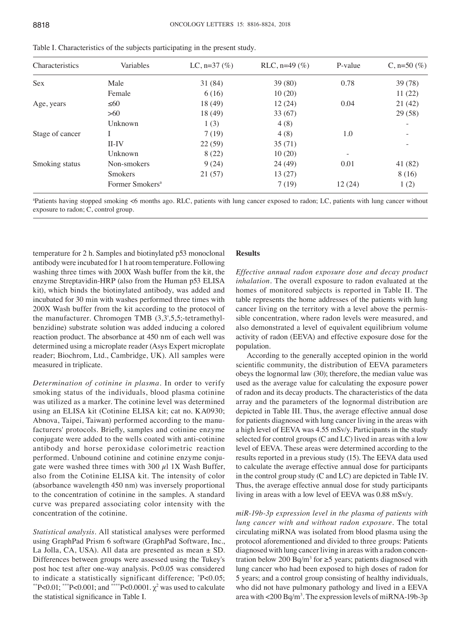| <b>Characteristics</b> | Variables                   | LC, $n=37$ (%) | RLC, $n=49$ (%) | P-value | C, $n=50$ (%) |
|------------------------|-----------------------------|----------------|-----------------|---------|---------------|
| <b>Sex</b>             | Male                        | 31 (84)        | 39(80)          | 0.78    | 39(78)        |
|                        | Female                      | 6(16)          | 10(20)          |         | 11(22)        |
| Age, years             | $\leq 60$                   | 18 (49)        | 12(24)          | 0.04    | 21(42)        |
|                        | >60                         | 18 (49)        | 33(67)          |         | 29(58)        |
|                        | Unknown                     | 1(3)           | 4(8)            |         |               |
| Stage of cancer        |                             | 7(19)          | 4(8)            | 1.0     |               |
|                        | $II$ -IV                    | 22(59)         | 35(71)          |         |               |
|                        | Unknown                     | 8(22)          | 10(20)          |         |               |
| Smoking status         | Non-smokers                 | 9(24)          | 24 (49)         | 0.01    | 41 (82)       |
|                        | <b>Smokers</b>              | 21(57)         | 13(27)          |         | 8(16)         |
|                        | Former Smokers <sup>a</sup> |                | 7(19)           | 12(24)  | 1(2)          |

Table I. Characteristics of the subjects participating in the present study.

a Patients having stopped smoking <6 months ago. RLC, patients with lung cancer exposed to radon; LC, patients with lung cancer without exposure to radon; C, control group.

temperature for 2 h. Samples and biotinylated p53 monoclonal antibody were incubated for 1 h at room temperature. Following washing three times with 200X Wash buffer from the kit, the enzyme Streptavidin-HRP (also from the Human p53 ELISA kit), which binds the biotinylated antibody, was added and incubated for 30 min with washes performed three times with 200X Wash buffer from the kit according to the protocol of the manufacturer. Chromogen TMB (3,3',5,5;-tetramethylbenzidine) substrate solution was added inducing a colored reaction product. The absorbance at 450 nm of each well was determined using a microplate reader (Asys Expert microplate reader; Biochrom, Ltd., Cambridge, UK). All samples were measured in triplicate.

*Determination of cotinine in plasma.* In order to verify smoking status of the individuals, blood plasma cotinine was utilized as a marker. The cotinine level was determined using an ELISA kit (Cotinine ELISA kit; cat no. KA0930; Abnova, Taipei, Taiwan) performed according to the manufacturers' protocols. Briefly, samples and cotinine enzyme conjugate were added to the wells coated with anti-cotinine antibody and horse peroxidase colorimetric reaction performed. Unbound cotinine and cotinine enzyme conjugate were washed three times with 300  $\mu$ l 1X Wash Buffer, also from the Cotinine ELISA kit. The intensity of color (absorbance wavelength 450 nm) was inversely proportional to the concentration of cotinine in the samples. A standard curve was prepared associating color intensity with the concentration of the cotinine.

*Statistical analysis.* All statistical analyses were performed using GraphPad Prism 6 software (GraphPad Software, Inc., La Jolla, CA, USA). All data are presented as mean  $\pm$  SD. Differences between groups were assessed using the Tukey's post hoc test after one-way analysis. P<0.05 was considered to indicate a statistically significant difference; \* to indicate a statistically significant difference;  $P<0.05$ ;<br>"P<0.01; \*"P<0.001; and \*\*\*\*P<0.0001.  $\chi^2$  was used to calculate the statistical significance in Table I.

## **Results**

*Effective annual radon exposure dose and decay product inhalation.* The overall exposure to radon evaluated at the homes of monitored subjects is reported in Table II. The table represents the home addresses of the patients with lung cancer living on the territory with a level above the permissible concentration, where radon levels were measured, and also demonstrated a level of equivalent equilibrium volume activity of radon (EEVA) and effective exposure dose for the population.

According to the generally accepted opinion in the world scientific community, the distribution of EEVA parameters obeys the lognormal law (30); therefore, the median value was used as the average value for calculating the exposure power of radon and its decay products. The characteristics of the data array and the parameters of the lognormal distribution are depicted in Table III. Thus, the average effective annual dose for patients diagnosed with lung cancer living in the areas with a high level of EEVA was 4.55 mSv/y. Participants in the study selected for control groups (C and LC) lived in areas with a low level of EEVA. These areas were determined according to the results reported in a previous study (15). The EEVA data used to calculate the average effective annual dose for participants in the control group study (C and LC) are depicted in Table IV. Thus, the average effective annual dose for study participants living in areas with a low level of EEVA was 0.88 mSv/y.

*miR‑19b‑3p expression level in the plasma of patients with lung cancer with and without radon exposure.* The total circulating miRNA was isolated from blood plasma using the protocol aforementioned and divided to three groups: Patients diagnosed with lung cancer living in areas with a radon concentration below 200 Bq/m<sup>3</sup> for  $\ge$ 5 years; patients diagnosed with lung cancer who had been exposed to high doses of radon for 5 years; and a control group consisting of healthy individuals, who did not have pulmonary pathology and lived in a EEVA area with <200 Bq/m3 . The expression levels of miRNA-19b-3p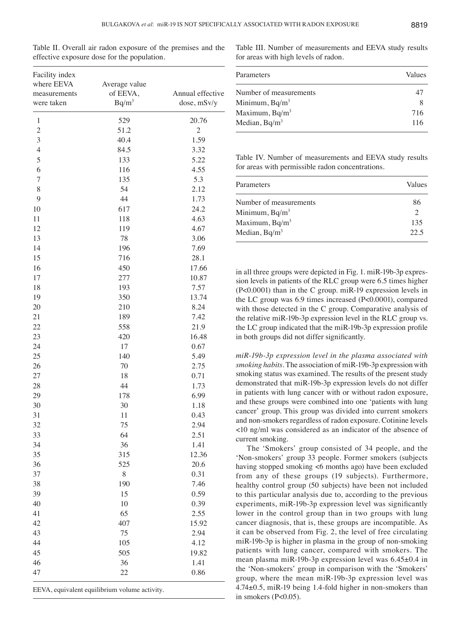| ×<br>۰.<br>v<br>w<br>v<br>n e s<br>× | I<br>۹ |
|--------------------------------------|--------|
|--------------------------------------|--------|

Table II. Overall air radon exposure of the premises and the effective exposure dose for the population.

| Facility index<br>where EEVA<br>measurements<br>were taken | Average value<br>of EEVA,<br>$Bq/m^3$ | Annual effective<br>dose, mSv/y |  |
|------------------------------------------------------------|---------------------------------------|---------------------------------|--|
| 1                                                          | 529                                   | 20.76                           |  |
| $\mathbf{2}$                                               | 51.2                                  | $\overline{c}$                  |  |
| 3                                                          | 40.4                                  | 1.59                            |  |
| $\overline{4}$                                             | 84.5                                  | 3.32                            |  |
| 5                                                          | 133                                   | 5.22                            |  |
| 6                                                          | 116                                   | 4.55                            |  |
| $\overline{7}$                                             | 135                                   | 5.3                             |  |
| 8                                                          | 54                                    | 2.12                            |  |
| 9                                                          | 44                                    | 1.73                            |  |
| 10                                                         | 617                                   | 24.2                            |  |
| 11                                                         | 118                                   | 4.63                            |  |
| 12                                                         | 119                                   | 4.67                            |  |
| 13                                                         | 78                                    | 3.06                            |  |
| 14                                                         | 196                                   | 7.69                            |  |
| 15                                                         | 716                                   | 28.1                            |  |
| 16                                                         | 450                                   | 17.66                           |  |
| 17                                                         | 277                                   | 10.87                           |  |
| 18                                                         | 193                                   | 7.57                            |  |
| 19                                                         | 350                                   | 13.74                           |  |
| 20                                                         | 210                                   | 8.24                            |  |
| 21                                                         | 189                                   | 7.42                            |  |
| 22                                                         | 558                                   | 21.9                            |  |
| 23                                                         | 420                                   | 16.48                           |  |
| 24                                                         | 17                                    | 0.67                            |  |
| 25                                                         | 140                                   | 5.49                            |  |
| 26                                                         | 70                                    | 2.75                            |  |
| 27                                                         | 18                                    | 0.71                            |  |
| 28                                                         | 44                                    | 1.73                            |  |
| 29                                                         | 178                                   | 6.99                            |  |
| 30                                                         | 30                                    | 1.18                            |  |
| 31                                                         | 11                                    | 0.43                            |  |
| 32                                                         | 75                                    | 2.94                            |  |
| 33                                                         | 64                                    | 2.51                            |  |
| 34                                                         | 36                                    | 1.41                            |  |
| 35                                                         | 315                                   | 12.36                           |  |
| 36                                                         | 525                                   | 20.6                            |  |
| 37                                                         | 8                                     | 0.31                            |  |
| 38                                                         | 190                                   | 7.46                            |  |
| 39                                                         | 15                                    | 0.59                            |  |
| 40                                                         | 10                                    | 0.39                            |  |
| 41                                                         | 65                                    | 2.55                            |  |
| 42                                                         | 407                                   | 15.92                           |  |
| 43                                                         | 75                                    | 2.94                            |  |
| 44                                                         | 105                                   | 4.12                            |  |
| 45                                                         | 505                                   | 19.82                           |  |
| 46                                                         | 36                                    | 1.41                            |  |
| 47                                                         | 22                                    | 0.86                            |  |

EEVA, equivalent equilibrium volume activity.

Table III. Number of measurements and EEVA study results for areas with high levels of radon.

| Parameters             | Values |
|------------------------|--------|
| Number of measurements | 47     |
| Minimum, $Bq/m^3$      | 8      |
| Maximum, $Bq/m^3$      | 716    |
| Median, $Bq/m^3$       | 116    |

Table IV. Number of measurements and EEVA study results for areas with permissible radon concentrations.

| Parameters             | Values                      |
|------------------------|-----------------------------|
| Number of measurements | 86                          |
| Minimum, $Bq/m^3$      | $\mathcal{D}_{\mathcal{L}}$ |
| Maximum, $Bq/m^3$      | 135                         |
| Median, $Bq/m^3$       | 22.5                        |

in all three groups were depicted in Fig. 1. miR-19b-3p expression levels in patients of the RLC group were 6.5 times higher (P<0.0001) than in the C group. miR-19 expression levels in the LC group was 6.9 times increased (P<0.0001), compared with those detected in the C group. Comparative analysis of the relative miR-19b-3p expression level in the RLC group vs. the LC group indicated that the miR-19b-3p expression profile in both groups did not differ significantly.

*miR‑19b‑3p expression level in the plasma associated with smoking habits.* The association of miR-19b-3p expression with smoking status was examined. The results of the present study demonstrated that miR-19b-3p expression levels do not differ in patients with lung cancer with or without radon exposure, and these groups were combined into one 'patients with lung cancer' group. This group was divided into current smokers and non-smokers regardless of radon exposure. Cotinine levels <10 ng/ml was considered as an indicator of the absence of current smoking.

The 'Smokers' group consisted of 34 people, and the 'Non-smokers' group 33 people. Former smokers (subjects having stopped smoking <6 months ago) have been excluded from any of these groups (19 subjects). Furthermore, healthy control group (50 subjects) have been not included to this particular analysis due to, according to the previous experiments, miR-19b-3p expression level was significantly lower in the control group than in two groups with lung cancer diagnosis, that is, these groups are incompatible. As it can be observed from Fig. 2, the level of free circulating miR-19b-3p is higher in plasma in the group of non-smoking patients with lung cancer, compared with smokers. The mean plasma miR-19b-3p expression level was 6.45±0.4 in the 'Non‑smokers' group in comparison with the 'Smokers' group, where the mean miR-19b-3p expression level was 4.74±0.5, miR-19 being 1.4-fold higher in non-smokers than in smokers  $(P<0.05)$ .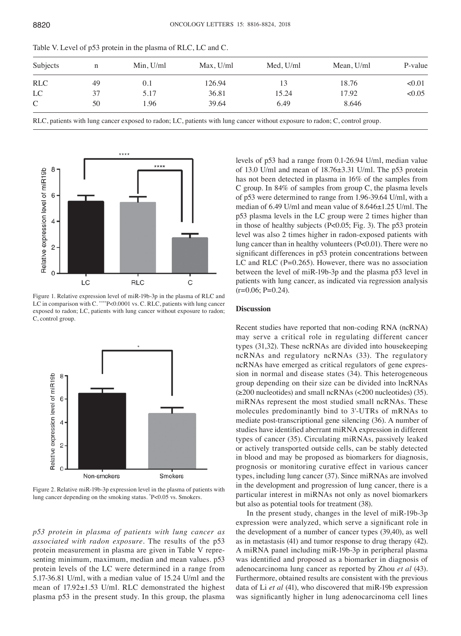| Subjects      | n  | Min, U/ml | Max, U/ml | Med, U/ml | Mean, U/ml | P-value |
|---------------|----|-----------|-----------|-----------|------------|---------|
| <b>RLC</b>    | 49 | 0.1       | 126.94    | 13        | 18.76      | < 0.01  |
| LC            | 37 | 5.17      | 36.81     | 15.24     | 17.92      | <0.05   |
| $\mathcal{C}$ | 50 | l.96      | 39.64     | 6.49      | 8.646      |         |

Table V. Level of p53 protein in the plasma of RLC, LC and C.

RLC, patients with lung cancer exposed to radon; LC, patients with lung cancer without exposure to radon; C, control group.



Figure 1. Relative expression level of miR-19b-3p in the plasma of RLC and LC in comparison with C. \*\*\*\*P<0.0001 vs. C. RLC, patients with lung cancer exposed to radon; LC, patients with lung cancer without exposure to radon; C, control group.



Figure 2. Relative miR-19b-3p expression level in the plasma of patients with lung cancer depending on the smoking status. \* P<0.05 vs. Smokers.

*p53 protein in plasma of patients with lung cancer as associated with radon exposure.* The results of the p53 protein measurement in plasma are given in Table V representing minimum, maximum, median and mean values. p53 protein levels of the LC were determined in a range from 5.17-36.81 U/ml, with a median value of 15.24 U/ml and the mean of 17.92±1.53 U/ml. RLC demonstrated the highest plasma p53 in the present study. In this group, the plasma levels of p53 had a range from 0.1-26.94 U/ml, median value of 13.0 U/ml and mean of 18.76±3.31 U/ml. The p53 protein has not been detected in plasma in 16% of the samples from C group. In 84% of samples from group C, the plasma levels of p53 were determined to range from 1.96-39.64 U/ml, with a median of 6.49 U/ml and mean value of 8.646±1.25 U/ml. The p53 plasma levels in the LC group were 2 times higher than in those of healthy subjects (P<0.05; Fig. 3). The p53 protein level was also 2 times higher in radon-exposed patients with lung cancer than in healthy volunteers (P<0.01). There were no significant differences in p53 protein concentrations between LC and RLC  $(P=0.265)$ . However, there was no association between the level of miR-19b-3p and the plasma p53 level in patients with lung cancer, as indicated via regression analysis  $(r=0.06; P=0.24)$ .

#### **Discussion**

Recent studies have reported that non-coding RNA (ncRNA) may serve a critical role in regulating different cancer types (31,32). These ncRNAs are divided into housekeeping ncRNAs and regulatory ncRNAs (33). The regulatory ncRNAs have emerged as critical regulators of gene expression in normal and disease states (34). This heterogeneous group depending on their size can be divided into lncRNAs  $(\geq 200$  nucleotides) and small ncRNAs  $(\leq 200$  nucleotides) (35). miRNAs represent the most studied small ncRNAs. These molecules predominantly bind to 3'-UTRs of mRNAs to mediate post-transcriptional gene silencing (36). A number of studies have identified aberrant miRNA expression in different types of cancer (35). Circulating miRNAs, passively leaked or actively transported outside cells, can be stably detected in blood and may be proposed as biomarkers for diagnosis, prognosis or monitoring curative effect in various cancer types, including lung cancer (37). Since miRNAs are involved in the development and progression of lung cancer, there is a particular interest in miRNAs not only as novel biomarkers but also as potential tools for treatment (38).

In the present study, changes in the level of miR-19b-3p expression were analyzed, which serve a significant role in the development of a number of cancer types (39,40), as well as in metastasis (41) and tumor response to drug therapy (42). A miRNA panel including miR-19b-3p in peripheral plasma was identified and proposed as a biomarker in diagnosis of adenocarcinoma lung cancer as reported by Zhou *et al* (43). Furthermore, obtained results are consistent with the previous data of Li *et al* (41), who discovered that miR-19b expression was significantly higher in lung adenocarcinoma cell lines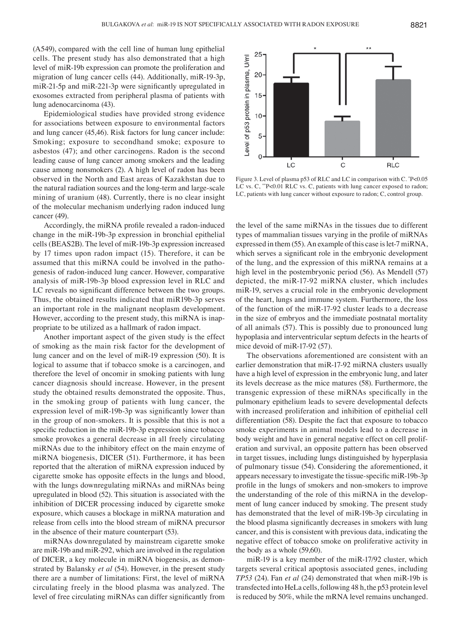(A549), compared with the cell line of human lung epithelial cells. The present study has also demonstrated that a high level of miR-19b expression can promote the proliferation and migration of lung cancer cells (44). Additionally, miR-19-3p, miR-21-5p and miR-221-3p were significantly upregulated in exosomes extracted from peripheral plasma of patients with lung adenocarcinoma (43).

Epidemiological studies have provided strong evidence for associations between exposure to environmental factors and lung cancer (45,46). Risk factors for lung cancer include: Smoking; exposure to secondhand smoke; exposure to asbestos (47); and other carcinogens. Radon is the second leading cause of lung cancer among smokers and the leading cause among nonsmokers (2). A high level of radon has been observed in the North and East areas of Kazakhstan due to the natural radiation sources and the long-term and large-scale mining of uranium (48). Currently, there is no clear insight of the molecular mechanism underlying radon induced lung cancer (49).

Accordingly, the miRNA profile revealed a radon‑induced change in the miR-19b-3p expression in bronchial epithelial cells (BEAS2B). The level of miR-19b-3p expression increased by 17 times upon radon impact (15). Therefore, it can be assumed that this miRNA could be involved in the pathogenesis of radon-induced lung cancer. However, comparative analysis of miR-19b-3p blood expression level in RLC and LC reveals no significant difference between the two groups. Thus, the obtained results indicated that miR19b-3p serves an important role in the malignant neoplasm development. However, according to the present study, this miRNA is inappropriate to be utilized as a hallmark of radon impact.

Another important aspect of the given study is the effect of smoking as the main risk factor for the development of lung cancer and on the level of miR-19 expression (50). It is logical to assume that if tobacco smoke is a carcinogen, and therefore the level of oncomir in smoking patients with lung cancer diagnosis should increase. However, in the present study the obtained results demonstrated the opposite. Thus, in the smoking group of patients with lung cancer, the expression level of miR-19b-3p was significantly lower than in the group of non-smokers. It is possible that this is not a specific reduction in the miR-19b-3p expression since tobacco smoke provokes a general decrease in all freely circulating miRNAs due to the inhibitory effect on the main enzyme of miRNA biogenesis, DICER (51). Furthermore, it has been reported that the alteration of miRNA expression induced by cigarette smoke has opposite effects in the lungs and blood, with the lungs downregulating miRNAs and miRNAs being upregulated in blood (52). This situation is associated with the inhibition of DICER processing induced by cigarette smoke exposure, which causes a blockage in miRNA maturation and release from cells into the blood stream of miRNA precursor in the absence of their mature counterpart (53).

miRNAs downregulated by mainstream cigarette smoke are miR-19b and miR-292, which are involved in the regulation of DICER, a key molecule in miRNA biogenesis, as demonstrated by Balansky *et al* (54). However, in the present study there are a number of limitations: First, the level of miRNA circulating freely in the blood plasma was analyzed. The level of free circulating miRNAs can differ significantly from



Figure 3. Level of plasma p53 of RLC and LC in comparison with C.  $P<0.05$ LC vs. C, \*\*P<0.01 RLC vs. C, patients with lung cancer exposed to radon; LC, patients with lung cancer without exposure to radon; C, control group.

the level of the same miRNAs in the tissues due to different types of mammalian tissues varying in the profile of miRNAs expressed in them (55). An example of this case is let-7 miRNA, which serves a significant role in the embryonic development of the lung, and the expression of this miRNA remains at a high level in the postembryonic period (56). As Mendell (57) depicted, the miR-17-92 miRNA cluster, which includes miR-19, serves a crucial role in the embryonic development of the heart, lungs and immune system. Furthermore, the loss of the function of the miR-17-92 cluster leads to a decrease in the size of embryos and the immediate postnatal mortality of all animals (57). This is possibly due to pronounced lung hypoplasia and interventricular septum defects in the hearts of mice devoid of miR-17-92 (57).

The observations aforementioned are consistent with an earlier demonstration that miR-17-92 miRNA clusters usually have a high level of expression in the embryonic lung, and later its levels decrease as the mice matures (58). Furthermore, the transgenic expression of these miRNAs specifically in the pulmonary epithelium leads to severe developmental defects with increased proliferation and inhibition of epithelial cell differentiation (58). Despite the fact that exposure to tobacco smoke experiments in animal models lead to a decrease in body weight and have in general negative effect on cell proliferation and survival, an opposite pattern has been observed in target tissues, including lungs distinguished by hyperplasia of pulmonary tissue (54). Considering the aforementioned, it appears necessary to investigate the tissue‑specific miR‑19b‑3p profile in the lungs of smokers and non‑smokers to improve the understanding of the role of this miRNA in the development of lung cancer induced by smoking. The present study has demonstrated that the level of miR-19b-3p circulating in the blood plasma significantly decreases in smokers with lung cancer, and this is consistent with previous data, indicating the negative effect of tobacco smoke on proliferative activity in the body as a whole (59,60).

miR-19 is a key member of the miR-17/92 cluster, which targets several critical apoptosis associated genes, including *TP53* (24). Fan *et al* (24) demonstrated that when miR-19b is transfected into HeLa cells, following 48 h, the p53 protein level is reduced by 50%, while the mRNA level remains unchanged.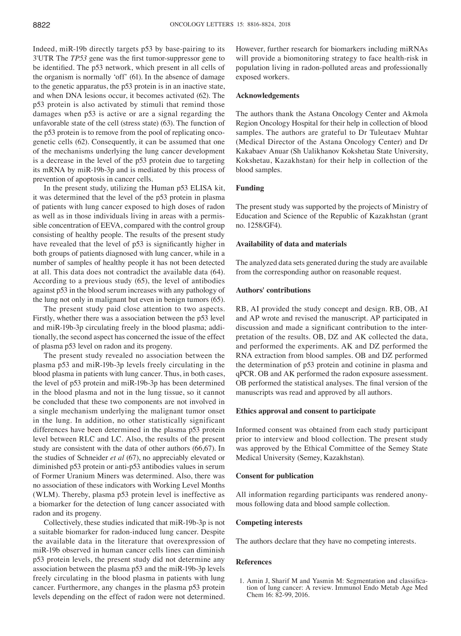Indeed, miR-19b directly targets p53 by base-pairing to its 3'UTR The *TP53* gene was the first tumor‑suppressor gene to be identified. The p53 network, which present in all cells of the organism is normally 'off' (61). In the absence of damage to the genetic apparatus, the p53 protein is in an inactive state, and when DNA lesions occur, it becomes activated (62). The p53 protein is also activated by stimuli that remind those damages when p53 is active or are a signal regarding the unfavorable state of the cell (stress state) (63). The function of the p53 protein is to remove from the pool of replicating oncogenetic cells (62). Consequently, it can be assumed that one of the mechanisms underlying the lung cancer development is a decrease in the level of the p53 protein due to targeting its mRNA by miR-19b-3p and is mediated by this process of prevention of apoptosis in cancer cells.

In the present study, utilizing the Human p53 ELISA kit, it was determined that the level of the p53 protein in plasma of patients with lung cancer exposed to high doses of radon as well as in those individuals living in areas with a permissible concentration of EEVA, compared with the control group consisting of healthy people. The results of the present study have revealed that the level of p53 is significantly higher in both groups of patients diagnosed with lung cancer, while in a number of samples of healthy people it has not been detected at all. This data does not contradict the available data (64). According to a previous study (65), the level of antibodies against p53 in the blood serum increases with any pathology of the lung not only in malignant but even in benign tumors (65).

The present study paid close attention to two aspects. Firstly, whether there was a association between the p53 level and miR-19b-3p circulating freely in the blood plasma; additionally, the second aspect has concerned the issue of the effect of plasma p53 level on radon and its progeny.

The present study revealed no association between the plasma p53 and miR-19b-3p levels freely circulating in the blood plasma in patients with lung cancer. Thus, in both cases, the level of p53 protein and miR-19b-3p has been determined in the blood plasma and not in the lung tissue, so it cannot be concluded that these two components are not involved in a single mechanism underlying the malignant tumor onset in the lung. In addition, no other statistically significant differences have been determined in the plasma p53 protein level between RLC and LC. Also, the results of the present study are consistent with the data of other authors (66,67). In the studies of Schneider *et al* (67), no appreciably elevated or diminished p53 protein or anti-p53 antibodies values in serum of Former Uranium Miners was determined. Also, there was no association of these indicators with Working Level Months (WLM). Thereby, plasma p53 protein level is ineffective as a biomarker for the detection of lung cancer associated with radon and its progeny.

Collectively, these studies indicated that miR-19b-3p is not a suitable biomarker for radon-induced lung cancer. Despite the available data in the literature that overexpression of miR-19b observed in human cancer cells lines can diminish p53 protein levels, the present study did not determine any association between the plasma p53 and the miR-19b-3p levels freely circulating in the blood plasma in patients with lung cancer. Furthermore, any changes in the plasma p53 protein levels depending on the effect of radon were not determined. However, further research for biomarkers including miRNAs will provide a biomonitoring strategy to face health-risk in population living in radon-polluted areas and professionally exposed workers.

### **Acknowledgements**

The authors thank the Astana Oncology Center and Akmola Region Oncology Hospital for their help in collection of blood samples. The authors are grateful to Dr Tuleutaev Muhtar (Medical Director of the Astana Oncology Center) and Dr Kakabaev Anuar (Sh Ualikhanov Kokshetau State University, Kokshetau, Kazakhstan) for their help in collection of the blood samples.

## **Funding**

The present study was supported by the projects of Ministry of Education and Science of the Republic of Kazakhstan (grant no. 1258/GF4).

### **Availability of data and materials**

The analyzed data sets generated during the study are available from the corresponding author on reasonable request.

## **Authors' contributions**

RB, AI provided the study concept and design. RB, OB, AI and AP wrote and revised the manuscript. AP participated in discussion and made a significant contribution to the interpretation of the results. OB, DZ and AK collected the data, and performed the experiments. AK and DZ performed the RNA extraction from blood samples. OB and DZ performed the determination of p53 protein and cotinine in plasma and qPCR. OB and AK performed the radon exposure assessment. OB performed the statistical analyses. The final version of the manuscripts was read and approved by all authors.

### **Ethics approval and consent to participate**

Informed consent was obtained from each study participant prior to interview and blood collection. The present study was approved by the Ethical Committee of the Semey State Medical University (Semey, Kazakhstan).

#### **Consent for publication**

All information regarding participants was rendered anonymous following data and blood sample collection.

#### **Competing interests**

The authors declare that they have no competing interests.

#### **References**

1. Amin J, Sharif M and Yasmin M: Segmentation and classification of lung cancer: A review. Immunol Endo Metab Age Med Chem 16: 82-99, 2016.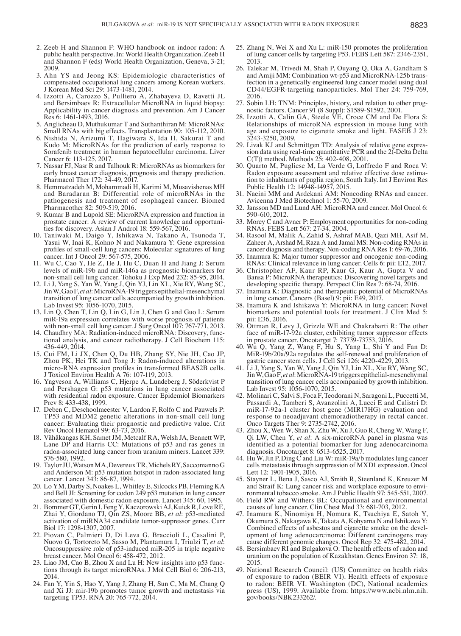- 2. Zeeb H and Shannon F: WHO handbook on indoor radon: A public health perspective. In: World Health Organization. Zeeb H and Shannon F (eds) World Health Organization, Geneva, 3-21; 2009.
- 3. Ahn YS and Jeong KS: Epidemiologic characteristics of compensated occupational lung cancers among Korean workers. J Korean Med Sci 29: 1473-1481, 2014.
- 4. Izzotti A, Carozzo S, Pulliero A, Zhabayeva D, Ravetti JL and Bersimbaev R: Extracellular MicroRNA in liquid biopsy: Applicability in cancer diagnosis and prevention. Am J Cancer Res 6: 1461-1493, 2016.
- 5. Anglicheau D, Muthukumar T and Suthanthiran M: MicroRNAs: Small RNAs with big effects. Transplantation 90: 105-112, 2010.
- 6. Nishida N, Arizumi T, Hagiwara S, Ida H, Sakurai T and Kudo M: MicroRNAs for the prediction of early response to Sorafenib treatment in human hepatocellular carcinoma. Liver Cancer 6: 113-125, 2017.
- 7. Nassar FJ, Nasr R and Talhouk R: MicroRNAs as biomarkers for early breast cancer diagnosis, prognosis and therapy prediction. Pharmacol Ther 172: 34-49, 2017.
- 8. Hemmatzadeh M, Mohammadi H, Karimi M, Musavishenas MH and Baradaran B: Differential role of microRNAs in the pathogenesis and treatment of esophageal cancer. Biomed Pharmacother 82: 509-519, 2016.
- 9. Kumar B and Lupold SE: MicroRNA expression and function in prostate cancer: A review of current knowledge and opportunities for discovery. Asian J Androl 18: 559-567, 2016.
- 10. Taniwaki M, Daigo Y, Ishikawa N, Takano A, Tsunoda T, Yasui W, Inai K, Kohno N and Nakamura Y: Gene expression profiles of small‑cell lung cancers: Molecular signatures of lung cancer. Int J Oncol 29: 567-575, 2006.
- 11. Wu C, Cao Y, He Z, He J, Hu C, Duan H and Jiang J: Serum levels of miR-19b and miR-146a as prognostic biomarkers for non-small cell lung cancer. Tohoku J Exp Med 232: 85-95, 2014.
- 12. Li J, Yang S, Yan W, Yang J, Qin YJ, Lin XL, Xie RY, Wang SC, JinW, GaoF, *et al*: MicroRNA-19 triggers epithelial-mesenchymal transition of lung cancer cells accompanied by growth inhibition. Lab Invest 95: 1056-1070, 2015.
- 13. Lin Q, Chen T, Lin Q, Lin G, Lin J, Chen G and Guo L: Serum miR-19a expression correlates with worse prognosis of patients with non-small cell lung cancer. J Surg Oncol 107: 767-771, 2013.
- 14. Chaudhry MA: Radiation-induced microRNA: Discovery, functional analysis, and cancer radiotherapy. J Cell Biochem 115: 436-449, 2014.
- 15. Cui FM, Li JX, Chen Q, Du HB, Zhang SY, Nie JH, Cao JP, Zhou PK, Hei TK and Tong J: Radon-induced alterations in micro‑RNA expression profiles in transformed BEAS2B cells. J Toxicol Environ Health A 76: 107-119, 2013.
- 16. Yngveson A, Williams C, Hjerpe A, Lundeberg J, Söderkvist P and Pershagen G: p53 mutations in lung cancer associated with residential radon exposure. Cancer Epidemiol Biomarkers Prev 8: 433-438, 1999.
- 17. Deben C, Deschoolmeester V, Lardon F, Rolfo C and Pauwels P: TP53 and MDM2 genetic alterations in non-small cell lung cancer: Evaluating their prognostic and predictive value. Crit Rev Oncol Hematol 99: 63-73, 2016.
- 18. Vähäkangas KH, Samet JM, Metcalf RA, Welsh JA, Bennett WP, Lane DP and Harris CC: Mutations of p53 and ras genes in radon-associated lung cancer from uranium miners. Lancet 339: 576-580, 1992.
- 19. TaylorJU, WatsonMA, DevereuxTR, MichelsRY, SaccomannoG and Anderson M: p53 mutation hotspot in radon-associated lung cancer. Lancet 343: 86-87, 1994.
- 20. Lo YM, Darby S, Noakes L, Whitley E, Silcocks PB, Fleming KA and Bell JI: Screening for codon 249 p53 mutation in lung cancer associated with domestic radon exposure. Lancet 345: 60, 1995.
- 21. Bommer GT, Gerin I, Feng Y, Kaczorowski AJ, Kuick R, Love RE, Zhai Y, Giordano TJ, Qin ZS, Moore BB, *et al*: p53-mediated activation of miRNA34 candidate tumor-suppressor genes. Curr
- 22. Piovan C, Palmieri D, Di Leva G, Braccioli L, Casalini P, Nuovo G, Tortoreto M, Sasso M, Plantamura I, Triulzi T, et al: Oncosuppressive role of p53-induced miR-205 in triple negative breast cancer. Mol Oncol 6: 458-472, 2012.
- 23. Liao JM, Cao B, Zhou X and Lu H: New insights into p53 func- tions through its target microRNAs. J Mol Cell Biol 6: 206-213, 2014.
- 24. Fan Y, Yin S, Hao Y, Yang J, Zhang H, Sun C, Ma M, Chang Q and Xi JJ: mir-19b promotes tumor growth and metastasis via targeting TP53. RNA 20: 765-772, 2014.
- 25. Zhang N, Wei X and Xu L: miR-150 promotes the proliferation of lung cancer cells by targeting P53. FEBS Lett 587: 2346-2351, 2013.
- 26. Talekar M, Trivedi M, Shah P, Ouyang Q, Oka A, Gandham S and Amiji MM: Combination wt-p53 and MicroRNA-125b transfection in a genetically engineered lung cancer model using dual CD44/EGFR-targeting nanoparticles. Mol Ther 24: 759-769, 2016.
- 27. Sobin LH: TNM: Principles, history, and relation to other prognostic factors. Cancer 91 (8 Suppl): S1589-S1592, 2001.
- 28. Izzotti A, Calin GA, Steele VE, Croce CM and De Flora S: Relationships of microRNA expression in mouse lung with age and exposure to cigarette smoke and light. FASEB J 23: 3243-3250, 2009.
- 29. Livak KJ and Schmittgen TD: Analysis of relative gene expression data using real-time quantitative PCR and the  $2$ (-Delta Delta C(T)) method. Methods 25: 402-408, 2001.
- 30. Quarto M, Pugliese M, La Verde G, Loffredo F and Roca V: Radon exposure assessment and relative effective dose estimation to inhabitants of puglia region, South Italy. Int J Environ Res Public Health 12: 14948-14957, 2015.
- 31. Naeini MM and Ardekani AM: Noncoding RNAs and cancer. Avicenna J Med Biotechnol 1: 55-70, 2009.
- 32. Jansson MD and Lund AH: MicroRNA and cancer. Mol Oncol 6: 590-610, 2012.
- 33. Morey C and Avner P: Employment opportunities for non-coding RNAs. FEBS Lett 567: 27-34, 2004.
- 34. Rasool M, Malik A, Zahid S, Ashraf MAB, Qazi MH, Asif M, Zaheer A, Arshad M, Raza A and Jamal MS: Non-coding RNAs in cancer diagnosis and therapy. Non-coding RNA Res 1: 69-76, 2016.
- 35. Inamura  $\overline{K}$ : Major tumor suppressor and oncogenic non-coding RNAs: Clinical relevance in lung cancer. Cells 6: pii: E12, 2017.
- 36. Christopher AF, Kaur RP, Kaur G, Kaur A, Gupta V and Bansa P: MicroRNA therapeutics: Discovering novel targets and developing specific therapy. Perspect Clin Res 7: 68‑74, 2016.
- 37. Inamura K: Diagnostic and therapeutic potential of MicroRNAs in lung cancer. Cancers (Basel) 9: pii: E49, 2017.
- 38. Inamura K and Ishikawa Y: MicroRNA in lung cancer: Novel biomarkers and potential tools for treatment. J Clin Med 5: pii: E36, 2016.
- 39. Ottman R, Levy J, Grizzle WE and Chakrabarti R: The other face of miR-17-92a cluster, exhibiting tumor suppressor effects in prostate cancer. Oncotarget 7: 73739-73753, 2016.
- 40. Wu Q, Yang Z, Wang F, Hu S, Yang L, Shi Y and Fan D: MiR-19b/20a/92a regulates the self-renewal and proliferation of gastric cancer stem cells. J Cell Sci 126: 4220-4229, 2013.
- 41. Li J, Yang S, Yan W, Yang J, Qin YJ, Lin XL, Xie RY, Wang SC, JinW, GaoF, *et al*: MicroRNA-19 triggers epithelial-mesenchymal transition of lung cancer cells accompanied by growth inhibition. Lab Invest 95: 1056-1070, 2015.
- 42. Molinari C, Salvi S, Foca F, Teodorani N, Saragoni L, Puccetti M, Passardi A, Tamberi S, Avanzolini A, Lucci E and Calistri D: miR-17-92a-1 cluster host gene (MIR17HG) evaluation and response to neoadjuvant chemoradiotherapy in rectal cancer. Onco Targets Ther 9: 2735-2742, 2016.
- 43. Zhou X, Wen W, Shan X, Zhu W, Xu J, Guo R, Cheng W, Wang F, Qi LW, Chen Y, *et al*: A six-microRNA panel in plasma was identified as a potential biomarker for lung adenocarcinoma diagnosis. Oncotarget 8: 6513-6525, 2017.
- 44. Hu W, Jin P, Ding C and Liu W: miR-19a/b modulates lung cancer cells metastasis through suppression of MXD1 expression. Oncol Lett 12: 1901-1905, 2016.
- 45. Stayner L, Bena J, Sasco AJ, Smith R, Steenland K, Kreuzer M and Straif K: Lung cancer risk and workplace exposure to environmental tobacco smoke. Am J Public Health 97: 545-551, 2007.
- 46. Field RW and Withers BL: Occupational and environmental causes of lung cancer. Clin Chest Med 33: 681-703, 2012.
- 47. Inamura K, Ninomiya H, Nomura K, Tsuchiya E, Satoh Y, Okumura S, Nakagawa K, Takata A, Kohyama N and Ishikawa Y: Combined effects of asbestos and cigarette smoke on the devel-<br>opment of lung adenocarcinoma: Different carcinogens may<br>cause different genomic changes. Oncol Rep 32: 475-482, 2014.
- 48. Bersimbaev RI and Bulgakova O: The health effects of radon and uranium on the population of Kazakhstan. Genes Environ 37: 18, 2015. 49. National Research Council: (US) Committee on health risks
- of exposure to radon (BEIR VI). Health effects of exposure to radon: BEIR VI. Washington (DC), National academies press (US), 1999. Available from: https://www.ncbi.nlm.nih. gov/books/NBK233262/.